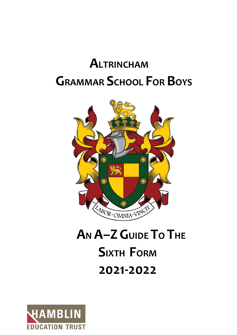# **ALTRINCHAM GRAMMAR SCHOOL FOR BOYS**



# **AN A–ZGUIDE TO THE SIXTH FORM 2021-2022**

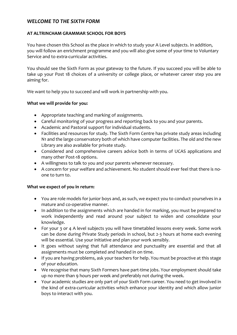### *WELCOME TO THE SIXTH FORM*

#### **AT ALTRINCHAM GRAMMAR SCHOOL FOR BOYS**

You have chosen this School as the place in which to study your A Level subjects. In addition, you will follow an enrichment programme and you will also give some of your time to Voluntary Service and to extra-curricular activities.

You should see the Sixth Form as your gateway to the future. If you succeed you will be able to take up your Post 18 choices of a university or college place, or whatever career step you are aiming for.

We want to help you to succeed and will work in partnership with you.

#### **What we will provide for you:**

- Appropriate teaching and marking of assignments.
- Careful monitoring of your progress and reporting back to you and your parents.
- Academic and Pastoral support for individual students.
- Facilities and resources for study. The Sixth Form Centre has private study areas including N1 and the large conservatory both of which have computer facilities. The old and the new Library are also available for private study.
- Considered and comprehensive careers advice both in terms of UCAS applications and many other Post-18 options.
- A willingness to talk to you and your parents whenever necessary.
- A concern for your welfare and achievement. No student should ever feel that there is noone to turn to.

#### **What we expect of you in return:**

- You are role models for junior boys and, as such, we expect you to conduct yourselves in a mature and co-operative manner.
- In addition to the assignments which are handed in for marking, you must be prepared to work independently and read around your subject to widen and consolidate your knowledge.
- For your 3 or 4 A level subjects you will have timetabled lessons every week. Some work can be done during Private Study periods in school, but 2-3 hours at home each evening will be essential. Use your initiative and plan your work sensibly.
- It goes without saying that full attendance and punctuality are essential and that all assignments must be completed and handed in on time.
- If you are having problems, ask your teachers for help. You must be proactive at this stage of your education.
- We recognise that many Sixth Formers have part-time jobs. Your employment should take up no more than 9 hours per week and preferably not during the week.
- Your academic studies are only part of your Sixth Form career. You need to get involved in the kind of extra-curricular activities which enhance your identity and which allow junior boys to interact with you.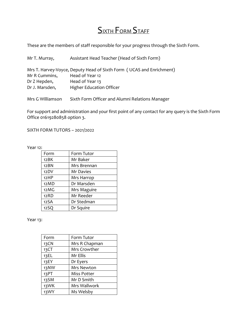## **SIXTH FORM STAFF**

These are the members of staff responsible for your progress through the Sixth Form.

| Mr T. Murray,    | Assistant Head Teacher (Head of Sixth Form)                           |
|------------------|-----------------------------------------------------------------------|
|                  | Mrs T. Harvey-Voyce, Deputy Head of Sixth Form ( UCAS and Enrichment) |
| Mr R Cummins,    | Head of Year 12                                                       |
| Dr Z Hepden,     | Head of Year 13                                                       |
| Dr J. Marsden,   | <b>Higher Education Officer</b>                                       |
| Mrs G Williamson | Sixth Form Officer and Alumni Relations Manager                       |

For support and administration and your first point of any contact for any query is the Sixth Form Office 01619280858 option 3.

SIXTH FORM TUTORS – 2021/2022

Year 12:

| Form | Form Tutor  |
|------|-------------|
| 12BK | Mr Baker    |
| 12BN | Mrs Brennan |
| 12DV | Mr Davies   |
| 12HP | Mrs Harrop  |
| 12MD | Dr Marsden  |
| 12MG | Mrs Maguire |
| 12RD | Mr Reeder   |
| 12SA | Dr Stedman  |
| 12SQ | Dr Squire   |

Year 13:

| Form | Form Tutor         |
|------|--------------------|
| 13CN | Mrs R Chapman      |
| 13CT | Mrs Crowther       |
| 13EL | Mr Ellis           |
| 13EY | Dr Eyers           |
| 13NW | Mrs Newton         |
| 13PT | <b>Miss Potter</b> |
| 13SM | Mr D Smith         |
| 13WK | Mrs Wallwork       |
| 13WY | Ms Welsby          |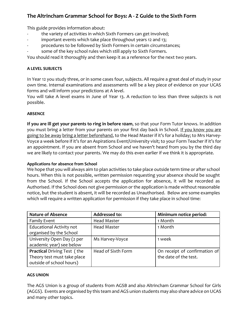### **The Altrincham Grammar School for Boys: A - Z Guide to the Sixth Form**

This guide provides information about:

- the variety of activities in which Sixth Formers can get involved;
- important events which take place throughout years 12 and 13;
- procedures to be followed by Sixth Formers in certain circumstances;
- some of the key school rules which still apply to Sixth Formers.

You should read it thoroughly and then keep it as a reference for the next two years.

#### **A LEVEL SUBJECTS**

In Year 12 you study three, or in some cases four, subjects. All require a great deal of study in your own time. Internal examinations and assessments will be a key piece of evidence on your UCAS forms and will inform your predictions at A level.

You will take A level exams in June of Year 13. A reduction to less than three subjects is not possible.

#### **ABSENCE**

**If you are ill get your parents to ring in before 10am**, so that your Form Tutor knows. In addition you must bring a letter from your parents on your first day back in School. If you know you are going to be away bring a letter beforehand, to the Head Master if it's for a holiday; to Mrs Harvey-Voyce a week before if it's for an Aspirations Event/University visit; to your Form Teacher if it's for an appointment. If you are absent from School and we haven't heard from you by the third day we are likely to contact your parents. We may do this even earlier if we think it is appropriate.

#### **Applications for absence from School**

We hope that you will always aim to plan activities to take place outside term time or after school hours. When this is not possible, written permission requesting your absence should be sought from the School. If the School accepts the application for absence, it will be recorded as Authorised. If the School does not give permission or the application is made without reasonable notice, but the student is absent, it will be recorded as Unauthorised. Below are some examples which will require a written application for permission if they take place in school time:

| <b>Nature of Absence</b>           | <b>Addressed to:</b> | Minimum notice period:        |  |
|------------------------------------|----------------------|-------------------------------|--|
| <b>Family Event</b>                | <b>Head Master</b>   | 1 Month                       |  |
| <b>Educational Activity not</b>    | <b>Head Master</b>   | 1 Month                       |  |
| organised by the School            |                      |                               |  |
| University Open Day (2 per         | Ms Harvey-Voyce      | 1 week                        |  |
| academic year) see below           |                      |                               |  |
| <b>Practical Driving Test (the</b> | Head of Sixth Form   | On receipt of confirmation of |  |
| Theory test must take place        |                      | the date of the test.         |  |
| outside of school hours)           |                      |                               |  |

#### **AGS UNION**

The AGS Union is a group of students from AGSB and also Altrincham Grammar School for Girls (AGGS). Events are organised by this team and AGS union students may also share advice on UCAS and many other topics.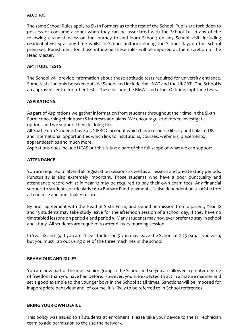#### **ALCOHOL**

The same School Rules apply to Sixth Formers as to the rest of the School. Pupils are forbidden to possess or consume alcohol when they can be associated with the School i.e. in any of the following circumstances: on the journey to and from School; on any School visit, including residential visits; at any time whilst in School uniform; during the School day; on the School premises. Punishment for those infringing these rules will be imposed at the discretion of the Head Master.

#### **APTITUDE TESTS**

The School will provide information about those aptitude tests required for university entrance. Some tests can only be taken outside School and include the LNAT and the UKCAT. The School is an approved centre for other tests. These include the BMAT and other Oxbridge aptitude tests.

#### **ASPIRATIONS**

As part of Aspirations we gather information from students throughout their time in the Sixth Form concerning their post 18 interests and plans. We encourage students to investigate options and we support them in doing this.

All Sixth Form Students have a UNIFROG account which has a resource library and links to UK and international opportunities which link to institutions, courses, webinars, placements, apprenticeships and much more.

Aspirations does include UCAS but this is just a part of the full scope of what we can support.

#### **ATTENDANCE**

You are required to attend all registration sessions as well as all lessons and private study periods. Punctuality is also extremely important. Those students who have a poor punctuality and attendance record whilst in Year 12 may be required to pay their own exam fees. Any financial support to students, particularly 16-19 Bursary Fund payments, is also dependent on a satisfactory attendance and punctuality record.

By prior agreement with the Head of Sixth Form, and signed permission from a parent, Year 12 and 13 students may take study leave for the afternoon session of a school day, if they have no timetabled lessons on period 4 and period 5. Many students may however prefer to stay in school and study. All students are required to attend every morning session.

In Year 12 and 13, If you are "free" for lesson 5 you may leave the School at 2.25 p.m. if you wish, but you must Tap out using one of the three machines in the school.

#### **BEHAVIOUR AND RULES**

You are now part of the most senior group in the School and so you are allowed a greater degree of freedom than you have had before. However, you are expected to act in a mature manner and set a good example to the younger boys in the School at all times. Sanctions will be imposed for inappropriate behaviour and, of course, it is likely to be referred to in School references.

#### **BRING YOUR OWN DEVICE**

This policy was issued to all students at enrolment. Please take your device to the IT Technician team to add permission to the use the network.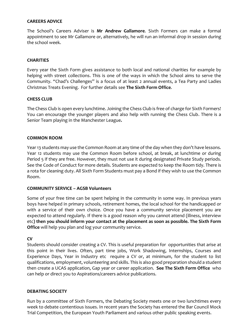#### **CAREERS ADVICE**

The School's Careers Adviser is **Mr Andrew Gallamore**. Sixth Formers can make a formal appointment to see Mr Gallamore or, alternatively, he will run an informal drop in session during the school week.

#### **CHARITIES**

Every year the Sixth Form gives assistance to both local and national charities for example by helping with street collections. This is one of the ways in which the School aims to serve the Community. "Chad's Challenges" is a focus of at least 2 annual events, a Tea Party and Ladies Christmas Treats Evening. For further details see **The Sixth Form Office**.

#### **CHESS CLUB**

The Chess Club is open every lunchtime. Joining the Chess Club is free of charge for Sixth Formers! You can encourage the younger players and also help with running the Chess Club. There is a Senior Team playing in the Manchester League**.**

#### **COMMON ROOM**

Year 13 students may use the Common Room at any time of the day when they don't have lessons. Year 12 students may use the Common Room before school, at break, at lunchtime or during Period 5 if they are free. However, they must not use it during designated Private Study periods. See the Code of Conduct for more details. Students are expected to keep the Room tidy. There is a rota for cleaning duty. All Sixth Form Students must pay a Bond if they wish to use the Common Room.

#### **COMMUNITY SERVICE – AGSB Volunteers**

Some of your free time can be spent helping in the community in some way. In previous years boys have helped in primary schools, retirement homes, the local school for the handicapped or with a service of their own choice. Once you have a community service placement you are expected to attend regularly. If there is a good reason why you cannot attend (illness, interview etc**) then you should inform your contact at the placement as soon as possible. The Sixth Form Office** will help you plan and log your community service.

#### **CV**

Students should consider creating a CV. This is useful preparation for opportunities that arise at this point in their lives. Often, part time jobs, Work Shadowing, Internships, Courses and Experience Days, Year in Industry etc require a CV or, at minimum, for the student to list qualifications, employment, volunteering and skills. This is also good preparation should a student then create a UCAS application, Gap year or career application. **See The Sixth Form Office** who can help or direct you to Aspirations/careers advice publications.

#### **DEBATING SOCIETY**

Run by a committee of Sixth Formers, the Debating Society meets one or two lunchtimes every week to debate contentious issues. In recent years the Society has entered the Bar Council Mock Trial Competition, the European Youth Parliament and various other public speaking events.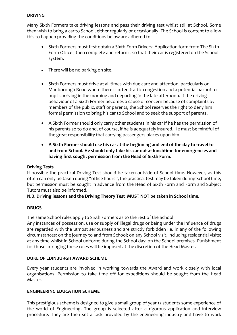#### **DRIVING**

Many Sixth Formers take driving lessons and pass their driving test whilst still at School. Some then wish to bring a car to School, either regularly or occasionally. The School is content to allow this to happen providing the conditions below are adhered to.

- Sixth Formers must first obtain a Sixth Form Drivers' Application form from The Sixth Form Office , then complete and return it so that their car is registered on the School system.
- There will be no parking on site.
- Sixth Formers must drive at all times with due care and attention, particularly on Marlborough Road where there is often traffic congestion and a potential hazard to pupils arriving in the morning and departing in the late afternoon. If the driving behaviour of a Sixth Former becomes a cause of concern because of complaints by members of the public, staff or parents, the School reserves the right to deny him formal permission to bring his car to School and to seek the support of parents.
- A Sixth Former should only carry other students in his car if he has the permission of his parents so to do and, of course, if he is adequately insured. He must be mindful of the great responsibility that carrying passengers places upon him.
- **A Sixth Former should use his car at the beginning and end of the day to travel to and from School. He should only take his car out at lunchtime for emergencies and having first sought permission from the Head of Sixth Form.**

#### **Driving Tests**

If possible the practical Driving Test should be taken outside of School time. However, as this often can only be taken during "office hours", the practical test may be taken during School time, but permission must be sought in advance from the Head of Sixth Form and Form and Subject Tutors must also be informed.

#### **N.B. Driving lessons and the Driving Theory Test MUST NOT be taken in School time.**

#### **DRUGS**

The same School rules apply to Sixth Formers as to the rest of the School.

Any instances of possession, use or supply of illegal drugs or being under the influence of drugs are regarded with the utmost seriousness and are strictly forbidden i.e. in any of the following circumstances: on the journey to and from School; on any School visit, including residential visits; at any time whilst in School uniform; during the School day; on the School premises. Punishment for those infringing these rules will be imposed at the discretion of the Head Master.

#### **DUKE OF EDINBURGH AWARD SCHEME**

Every year students are involved in working towards the Award and work closely with local organisations. Permission to take time off for expeditions should be sought from the Head Master.

#### **ENGINEERING EDUCATION SCHEME**

This prestigious scheme is designed to give a small group of year 12 students some experience of the world of Engineering. The group is selected after a rigorous application and interview procedure. They are then set a task provided by the engineering industry and have to work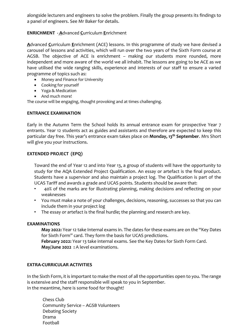alongside lecturers and engineers to solve the problem. Finally the group presents its findings to a panel of engineers. See Mr Baker for details.

#### **ENRICHMENT - A**dvanced **C**urriculum **E**nrichment

**A**dvanced **C**urriculum **E**nrichment (ACE) lessons. In this programme of study we have devised a carousel of lessons and activities, which will run over the two years of the Sixth Form course at AGSB. The objective of ACE is enrichment – making our students more rounded, more independent and more aware of the world we all inhabit. The lessons are going to be ACE as we have utilised the wide ranging skills, experience and interests of our staff to ensure a varied programme of topics such as:

- Money and Finance for University
- Cooking for yourself
- Yoga & Medication
- And much more!

The course will be engaging, thought provoking and at times challenging.

#### **ENTRANCE EXAMINATION**

Early in the Autumn Term the School holds its annual entrance exam for prospective Year 7 entrants. Year 12 students act as guides and assistants and therefore are expected to keep this particular day free. This year's entrance exam takes place on **Monday, 13th September**. Mrs Short will give you your instructions.

#### **EXTENDED PROJECT (EPQ)**

Toward the end of Year 12 and into Year 13, a group of students will have the opportunity to study for the AQA Extended Project Qualification. An essay or artefact is the final product. Students have a supervisor and also maintain a project log. The Qualification is part of the UCAS Tariff and awards a grade and UCAS points. Students should be aware that:

- 40% of the marks are for illustrating planning, making decisions and reflecting on your weaknesses
- You must make a note of your challenges, decisions, reasoning, successes so that you can include them in your project log
- The essay or artefact is the final hurdle; the planning and research are key.

#### **EXAMINATIONS**

**May 2022:** Year 12 take Internal exams in. The dates for these exams are on the "Key Dates for Sixth Form" card. They form the basis for UCAS predictions.

**February 2022:** Year 13 take internal exams. See the Key Dates for Sixth Form Card. **May/June 2022 :** A level examinations.

#### **EXTRA-CURRICULAR ACTIVITIES**

In the Sixth Form, it is important to make the most of all the opportunities open to you. The range is extensive and the staff responsible will speak to you in September. In the meantime, here is some food for thought!

Chess Club Community Service – AGSB Volunteers Debating Society Drama Football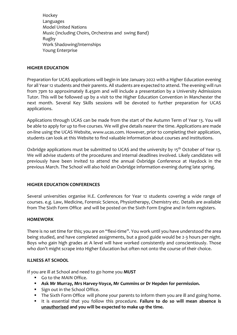Hockey Languages Model United Nations Music (including Choirs, Orchestras and swing Band) Rugby Work Shadowing/Internships Young Enterprise

#### **HIGHER EDUCATION**

Preparation for UCAS applications will begin in late January 2022 with a Higher Education evening for all Year 12 students and their parents. All students are expected to attend. The evening will run from 7pm to approximately 8.45pm and will include a presentation by a University Admissions Tutor. This will be followed up by a visit to the Higher Education Convention in Manchester the next month. Several Key Skills sessions will be devoted to further preparation for UCAS applications.

Applications through UCAS can be made from the start of the Autumn Term of Year 13. You will be able to apply for up to five courses. We will give details nearer the time. Applications are made on-line using the UCAS Website, www.ucas.com. However, prior to completing their application, students can look at this Website to find valuable information about courses and institutions.

Oxbridge applications must be submitted to UCAS and the university by 15<sup>th</sup> October of Year 13. We will advise students of the procedures and internal deadlines involved. Likely candidates will previously have been invited to attend the annual Oxbridge Conference at Haydock in the previous March. The School will also hold an Oxbridge information evening during late spring.

#### **HIGHER EDUCATION CONFERENCES**

Several universities organise H.E. Conferences for Year 12 students covering a wide range of courses. e.g. Law, Medicine, Forensic Science, Physiotherapy, Chemistry etc. Details are available from The Sixth Form Office and will be posted on the Sixth Form Engine and in form registers.

#### **HOMEWORK**

There is no set time for this; you are on "flexi-time". You work until you have understood the area being studied, and have completed assignments, but a good guide would be 2-3 hours per night. Boys who gain high grades at A level will have worked consistently and conscientiously. Those who don't might scrape into Higher Education but often not onto the course of their choice.

#### **ILLNESS AT SCHOOL**

If you are ill at School and need to go home you **MUST**

- Go to the MAIN Office.
- **Ask Mr Murray, Mrs Harvey-Voyce, Mr Cummins or Dr Hepden for permission.**
- Sign out in the School Office.
- The Sixth Form Office will phone your parents to inform them you are ill and going home.
- It is essential that you follow this procedure. **Failure to do so will mean absence is unauthorised and you will be expected to make up the time.**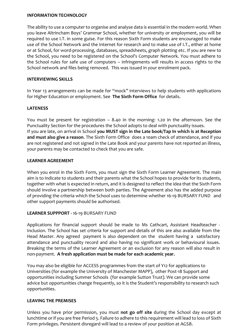#### **INFORMATION TECHNOLOGY**

The ability to use a computer to organise and analyse data is essential in the modern world. When you leave Altrincham Boys' Grammar School, whether for university or employment, you will be required to use I.T. in some guise. For this reason Sixth Form students are encouraged to make use of the School Network and the Internet for research and to make use of I.T., either at home or at School, for word-processing, databases, spreadsheets, graph plotting etc. If you are new to the School, you need to be registered on the School's Computer Network. You must adhere to the School rules for safe use of computers – infringements will results in access rights to the School network and files being removed. This was issued in your enrolment pack.

#### **INTERVIEWING SKILLS**

In Year 13 arrangements can be made for "mock" interviews to help students with applications for Higher Education or employment. See **The Sixth Form Office** for details.

#### **LATENESS**

You must be present for registration – 8.40 in the morning: 1.20 in the afternoon. See the Punctuality Section for the procedures the School adopts to deal with punctuality issues. If you are late, on arrival in School **you MUST sign in the Late book/Tap In which is at Reception and must also give a reason**. The Sixth Form Office does a 10am check of attendance, and if you are not registered and not signed in the Late Book and your parents have not reported an illness, your parents may be contacted to check that you are safe.

#### **LEARNER AGREEMENT**

When you enrol in the Sixth Form, you must sign the Sixth Form Learner Agreement. The main aim is to indicate to students and their parents what the School hopes to provide for its students, together with what is expected in return, and it is designed to reflect the idea that the Sixth Form should involve a partnership between both parties. The Agreement also has the added purpose of providing the criteria which the School uses to determine whether 16-19 BURSARY FUND and other support payments should be authorised.

#### **LEARNER SUPPPORT -** 16-19 BURSARY FUND

Applications for financial support should be made to Ms Cathcart, Assistant Headteacher - Inclusion. The School has set criteria for support and details of this are also available from the Head Master. Any agreed payment is also dependent on the student having a satisfactory attendance and punctuality record and also having no significant work or behavioural issues. Breaking the terms of the Learner Agreement or an exclusion for any reason will also result in non-payment. **A fresh application must be made for each academic year.**

You may also be eligible for ACCESS programmes from the start of Y12 for applications to Universities (for example the University of Manchester MAPP), other Post-18 Support and opportunities including Summer Schools (for example Sutton Trust). We can provide some advice but opportunities change frequently, so it is the Student's responsibility to research such opportunities.

#### **LEAVING THE PREMISES**

Unless you have prior permission, you must **not go off site** during the School day except at lunchtime or if you are free Period 5. Failure to adhere to this requirement will lead to loss of Sixth Form privileges. Persistent disregard will lead to a review of your position at AGSB.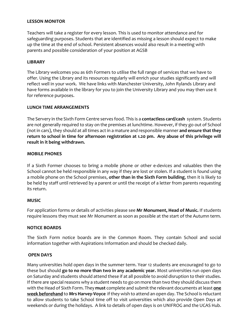#### **LESSON MONITOR**

Teachers will take a register for every lesson. This is used to monitor attendance and for safeguarding purposes. Students that are identified as missing a lesson should expect to make up the time at the end of school. Persistent absences would also result in a meeting with parents and possible consideration of your position at AGSB

#### **LIBRARY**

The Library welcomes you as 6th Formers to utilise the full range of services that we have to offer. Using the Library and its resources regularly will enrich your studies significantly and will reflect well in your work. We have links with Manchester University, John Rylands Library and have forms available in the library for you to join the University Library and you may then use it for reference purposes.

#### **LUNCH TIME ARRANGEMENTS**

The Servery in the Sixth Form Centre serves food. This is a **contactless card/cash** system. Students are not generally required to stay on the premises at lunchtime. However, if they go out of School (not in cars), they should at all times act in a mature and responsible manner **and ensure that they return to school in time for afternoon registration at 1.20 pm. Any abuse of this privilege will result in it being withdrawn.**

#### **MOBILE PHONES**

If a Sixth Former chooses to bring a mobile phone or other e-devices and valuables then the School cannot be held responsible in any way if they are lost or stolen. If a student is found using a mobile phone on the School premises, **other than in the Sixth Form building**, then it is likely to be held by staff until retrieved by a parent or until the receipt of a letter from parents requesting its return.

#### **MUSIC**

For application forms or details of activities please see **Mr Monument, Head of Music.** If students require lessons they must see Mr Monument as soon as possible at the start of the Autumn term.

#### **NOTICE BOARDS**

The Sixth Form notice boards are in the Common Room. They contain School and social information together with Aspirations Information and should be checked daily.

#### **OPEN DAYS**

Many universities hold open days in the summer term. Year 12 students are encouraged to go to these but should **go to no more than two in any academic year.** Most universities run open days on Saturday and students should attend these if at all possible to avoid disruption to their studies. If there are special reasons why a student needs to go on more than two they should discuss them with the Head of Sixth Form. They **must** complete and submit the relevant documents at least **one week beforehand** to **Mrs Harvey-Voyce** if they wish to attend an open day. The School is reluctant to allow students to take School time off to visit universities which also provide Open Days at weekends or during the holidays. A link to details of open days is on UNIFROG and the UCAS Hub.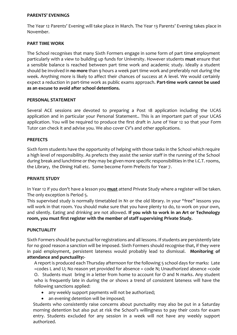#### **PARENTS' EVENINGS**

The Year 12 Parents' Evening will take place in March. The Year 13 Parents' Evening takes place in November.

#### **PART TIME WORK**

The School recognises that many Sixth Formers engage in some form of part time employment particularly with a view to building up funds for University. However students **must** ensure that a sensible balance is reached between part time work and academic study. Ideally a student should be involved in **no more** than 9 hours a week part time work and preferably not during the week. Anything more is likely to affect their chances of success at A level. We would certainly expect a reduction in part-time work as public exams approach. **Part-time work cannot be used as an excuse to avoid after school detentions.**

#### **PERSONAL STATEMENT**

Several ACE sessions are devoted to preparing a Post 18 application including the UCAS application and in particular your Personal Statement.. This is an important part of your UCAS application. You will be required to produce the first draft in June of Year 12 so that your Form Tutor can check it and advise you. We also cover CV's and other applications.

#### **PREFECTS**

Sixth form students have the opportunity of helping with those tasks in the School which require a high level of responsibility. As prefects they assist the senior staff in the running of the School during break and lunchtime or they may be given more specific responsibilities in the I.C.T. rooms, the Library, the Dining Hall etc. Some become Form Prefects for Year 7.

#### **PRIVATE STUDY**

In Year 12 if you don't have a lesson you **must** attend Private Study where a register will be taken. The only exception is Period 5.

This supervised study is normally timetabled in N1 or the old library. In your "free" lessons you will work in that room. You should make sure that you have plenty to do, to work on your own, and silently. Eating and drinking are not allowed. **If you wish to work in an Art or Technology room, you must first register with the member of staff supervising Private Study.**

#### **PUNCTUALITY**

Sixth Formers should be punctual for registrations and all lessons. If students are persistently late for no good reason a sanction will be imposed. Sixth Formers should recognise that, if they were in paid employment, persistent lateness would probably lead to dismissal. **Monitoring of attendance and punctuality:-**

A report is produced each Thursday afternoon for the following 5 school days for marks: Late =codes L and U; No reason yet provided for absence = code N; Unauthorized absence =code O. Students must bring in a letter from home to account for O and N marks. Any student who is frequently late in during the or shows a trend of consistent lateness will have the following sanctions applied:

- any weekly support payments will not be authorized;
- an evening detention will be imposed;

Students who consistently raise concerns about punctuality may also be put in a Saturday morning detention but also put at risk the School's willingness to pay their costs for exam entry. Students excluded for any session in a week will not have any weekly support authorized.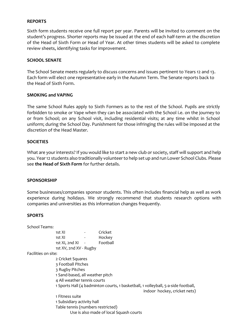#### **REPORTS**

Sixth form students receive one full report per year. Parents will be invited to comment on the student's progress. Shorter reports may be issued at the end of each half-term at the discretion of the Head of Sixth Form or Head of Year. At other times students will be asked to complete review sheets, identifying tasks for improvement.

#### **SCHOOL SENATE**

The School Senate meets regularly to discuss concerns and issues pertinent to Years 12 and 13. Each form will elect one representative early in the Autumn Term. The Senate reports back to the Head of Sixth Form.

#### **SMOKING and VAPING**

The same School Rules apply to Sixth Formers as to the rest of the School. Pupils are strictly forbidden to smoke or Vape when they can be associated with the School i.e. on the journey to or from School; on any School visit, including residential visits; at any time whilst in School uniform; during the School Day. Punishment for those infringing the rules will be imposed at the discretion of the Head Master.

#### **SOCIETIES**

What are your interests? If you would like to start a new club or society, staff will support and help you. Year 12 students also traditionally volunteer to help set up and run Lower School Clubs. Please see **the Head of Sixth Form** for further details.

#### **SPONSORSHIP**

Some businesses/companies sponsor students. This often includes financial help as well as work experience during holidays. We strongly recommend that students research options with companies and universities as this information changes frequently.

#### **SPORTS**

| School Teams:       |                                                                                                                   |        |                                         |  |  |  |  |  |  |
|---------------------|-------------------------------------------------------------------------------------------------------------------|--------|-----------------------------------------|--|--|--|--|--|--|
|                     | 1st XI                                                                                                            | $\sim$ | Cricket                                 |  |  |  |  |  |  |
|                     | 1st XI                                                                                                            | $\sim$ | Hockey                                  |  |  |  |  |  |  |
|                     | 1st XI, 2nd XI                                                                                                    |        | Football                                |  |  |  |  |  |  |
|                     | 1st XV, 2nd XV - Rugby                                                                                            |        |                                         |  |  |  |  |  |  |
| Facilities on site: |                                                                                                                   |        |                                         |  |  |  |  |  |  |
|                     | 2 Cricket Squares                                                                                                 |        |                                         |  |  |  |  |  |  |
|                     | 3 Football Pitches                                                                                                |        |                                         |  |  |  |  |  |  |
|                     | 3 Rugby Pitches                                                                                                   |        |                                         |  |  |  |  |  |  |
|                     | 1 Sand-based, all weather pitch                                                                                   |        |                                         |  |  |  |  |  |  |
|                     | 4 All weather tennis courts                                                                                       |        |                                         |  |  |  |  |  |  |
|                     | 1 Sports Hall (4 badminton courts, 1 basketball, 1 volleyball, 5-a-side football,<br>indoor hockey, cricket nets) |        |                                         |  |  |  |  |  |  |
|                     | 1 Fitness suite                                                                                                   |        |                                         |  |  |  |  |  |  |
|                     | 1 Subsidiary activity hall                                                                                        |        |                                         |  |  |  |  |  |  |
|                     | Table tennis (numbers restricted)                                                                                 |        |                                         |  |  |  |  |  |  |
|                     |                                                                                                                   |        | Use is also made of local Squash courts |  |  |  |  |  |  |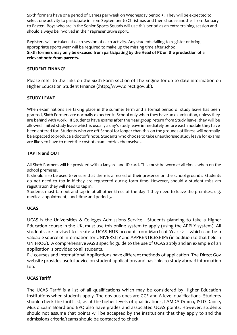Sixth formers have one period of Games per week on Wednesday period 5. They will be expected to select one activity to participate in from September to Christmas and then choose another from January to Easter. Boys who are in the Senior Sports Squads will use this period as an extra training session and should always be involved in their representative sport.

Registers will be taken at each session of each activity. Any students failing to register or bring appropriate sportswear will be required to make up the missing time after school. **Sixth formers may only be excused from participating by the Head of PE on the production of a relevant note from parents.**

#### **STUDENT FINANCE**

Please refer to the links on the Sixth Form section of The Engine for up to date information on Higher Education Student Finance (:http://www.direct.gov.uk).

#### **STUDY LEAVE**

When examinations are taking place in the summer term and a formal period of study leave has been granted, Sixth Formers are normally expected in School only when they have an examination, unless they are behind with work. If Students have exams after the Year group return from Study leave, they will be allowed limited study leave which is usually a day's study leave immediately before each module they have been entered for. Students who are off School for longer than this on the grounds of illness will normally be expected to produce a doctor's note. Students who choose to take unauthorised study leave for exams are likely to have to meet the cost of exam entries themselves.

#### **TAP IN and OUT**

All Sixth Formers will be provided with a lanyard and ID card. This must be worn at all times when on the school premises.

It should also be used to ensure that there is a record of their presence on the school grounds. Students do not need to tap in if they are registered during form time. However, should a student miss am registration they will need to tap in.

Students must tap out and tap in at all other times of the day if they need to leave the premises, e.g. medical appointment, lunchtime and period 5.

#### **UCAS**

UCAS is the Universities & Colleges Admissions Service. Students planning to take a Higher Education course in the UK, must use this online system to apply (using the APPLY system). All students are advised to create a UCAS HUB account from March of Year 12 – which can be a valuable source of information for UNIVERSITY and APPRENTICESHIPS (in addition to that held in UNIFROG). A comprehensive AGSB specific guide to the use of UCAS apply and an example of an application is provided to all students.

EU courses and International Applications have different methods of application. The Direct.Gov website provides useful advice on student applications and has links to study abroad information too.

#### **UCAS Tariff**

The UCAS Tariff is a list of all qualifications which may be considered by Higher Education Institutions when students apply. The obvious ones are GCE and A level qualifications. Students should check the tariff list, as at the higher levels of qualifications, LAMDA Drama, ISTD Dance, Music Exam Board and EPQ also have grades and associated UCAS points. However, students should not assume that points will be accepted by the institutions that they apply to and the admissions criteria/teams should be contacted to check.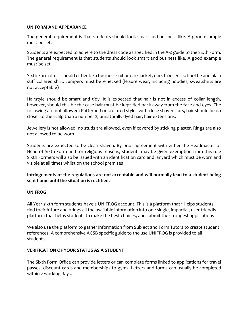#### **UNIFORM AND APPEARANCE**

The general requirement is that students should look smart and business like. A good example must be set.

Students are expected to adhere to the dress code as specified in the A-Z guide to the Sixth Form. The general requirement is that students should look smart and business like. A good example must be set.

Sixth Form dress should either be a business suit or dark jacket, dark trousers, school tie and plain stiff collared shirt. Jumpers must be V-necked (leisure wear, including hoodies, sweatshirts are not acceptable)

Hairstyle should be smart and tidy. It is expected that hair is not in excess of collar length, however, should this be the case hair must be kept tied back away from the face and eyes. The following are not allowed: Patterned or sculpted styles with close shaved cuts, hair should be no closer to the scalp than a number 2; unnaturally dyed hair; hair extensions.

Jewellery is not allowed, no studs are allowed, even if covered by sticking plaster. Rings are also not allowed to be worn.

Students are expected to be clean shaven. By prior agreement with either the Headmaster or Head of Sixth Form and for religious reasons, students may be given exemption from this rule Sixth Formers will also be issued with an identification card and lanyard which must be worn and visible at all times whilst on the school premises

**Infringements of the regulations are not acceptable and will normally lead to a student being sent home until the situation is rectified.**

#### **UNIFROG**

All Year sixth form students have a UNIFROG account. This is a platform that "Helps students find their future and brings all the available information into one single, impartial, user-friendly platform that helps students to make the best choices, and submit the strongest applications".

We also use the platform to gather information from Subject and Form Tutors to create student references. A comprehensive AGSB specific guide to the use UNIFROG is provided to all students.

#### **VERIFICATION OF YOUR STATUS AS A STUDENT**

The Sixth Form Office can provide letters or can complete forms linked to applications for travel passes, discount cards and memberships to gyms. Letters and forms can usually be completed within 2 working days.